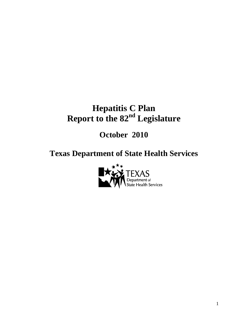# **Hepatitis C Plan Report to the 82nd Legislature**

# **October 2010**

# **Texas Department of State Health Services**

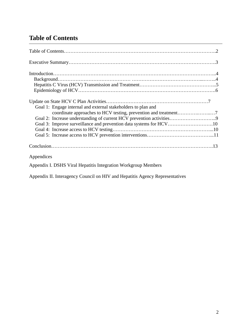# **Table of Contents**

| Goal 1: Engage internal and external stakeholders to plan and      |
|--------------------------------------------------------------------|
|                                                                    |
|                                                                    |
| Goal 3: Improve surveillance and prevention data systems for HCV10 |
|                                                                    |
|                                                                    |
|                                                                    |
| Appendices                                                         |
| Appendix I. DSHS Viral Hepatitis Integration Workgroup Members     |

Appendix II. Interagency Council on HIV and Hepatitis Agency Representatives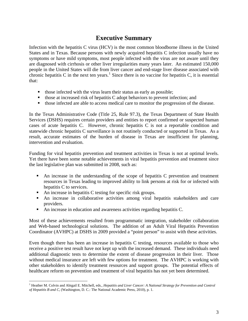# **Executive Summary**

Infection with the hepatitis C virus (HCV) is the most common bloodborne illness in the United States and in Texas. Because persons with newly acquired hepatitis C infection usually have no symptoms or have mild symptoms, most people infected with the virus are not aware until they are diagnosed with cirrhosis or other liver irregularities many years later. An estimated 150,000 people in the United States will die from liver cancer and end-stage liver disease associated with chronic hepatitis C in the next ten years.<sup>[1](#page-2-0)</sup> Since there is no vaccine for hepatitis C, it is essential that:

- $\blacksquare$  those infected with the virus learn their status as early as possible;
- $\blacksquare$  those at increased risk of hepatitis C adopt behaviors to prevent infection; and
- those infected are able to access medical care to monitor the progression of the disease.

In the Texas Administrative Code (Title 25, Rule 97.3), the Texas Department of State Health Services (DSHS) requires certain providers and entities to report confirmed or suspected human cases of acute hepatitis C. However, chronic hepatitis C is not a reportable condition and statewide chronic hepatitis C surveillance is not routinely conducted or supported in Texas. As a result, accurate estimates of the burden of disease in Texas are insufficient for planning, intervention and evaluation.

Funding for viral hepatitis prevention and treatment activities in Texas is not at optimal levels. Yet there have been some notable achievements in viral hepatitis prevention and treatment since the last legislative plan was submitted in 2008, such as:

- An increase in the understanding of the scope of hepatitis C prevention and treatment resources in Texas leading to improved ability to link persons at risk for or infected with hepatitis C to services.
- An increase in hepatitis C testing for specific risk groups.
- An increase in collaborative activities among viral hepatitis stakeholders and care providers.
- An increase in education and awareness activities regarding hepatitis C.

Most of these achievements resulted from programmatic integration, stakeholder collaboration and Web-based technological solutions. The addition of an Adult Viral Hepatitis Prevention Coordinator (AVHPC) at DSHS in 2009 provided a "point person" to assist with these activities.

Even though there has been an increase in hepatitis C testing, resources available to those who receive a positive test result have not kept up with the increased demand. These individuals need additional diagnostic tests to determine the extent of disease progression in their liver. Those without medical insurance are left with few options for treatment. The AVHPC is working with other stakeholders to identify treatment resources and support groups. The potential effects of healthcare reform on prevention and treatment of viral hepatitis has not yet been determined.

<span id="page-2-0"></span><sup>&</sup>lt;sup>1</sup> Heather M. Colvin and Abigail E. Mitchell, eds., *Hepatitis and Liver Cancer: A National Strategy for Prevention and Control of Hepatitis B and C*, (Washington, D. C.: The National Academic Press, 2010), p. 1.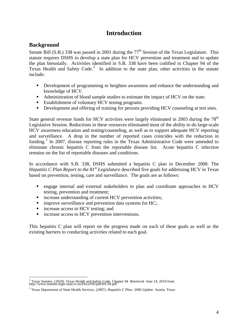# **Introduction**

## **Background**

Senate Bill (S.B.) 338 was passed in 2001 during the 77<sup>th</sup> Session of the Texas Legislature. This statute requires DSHS to develop a state plan for HCV prevention and treatment and to update the plan biennially. Activities identified in S.B. 338 have been codified in Chapter 94 of the Texas Health and Safety Code.<sup>[2](#page-3-0)</sup> In addition to the state plan, other activities in the statute include:

- Development of programming to heighten awareness and enhance the understanding and knowledge of HCV.
- Administration of blood sample studies to estimate the impact of HCV on the state.
- Establishment of voluntary HCV testing programs.
- Development and offering of training for persons providing HCV counseling at test sites.

State general revenue funds for HCV activities were largely eliminated in 2003 during the  $78<sup>th</sup>$ Legislative Session. Reductions in these resources eliminated most of the ability to do large-scale HCV awareness education and testing/counseling, as well as to support adequate HCV reporting and surveillance. A drop in the number of reported cases coincides with the reduction in funding.<sup>[3](#page-3-1)</sup> In 2007, disease reporting rules in the Texas Administrative Code were amended to eliminate chronic hepatitis C from the reportable disease list. Acute hepatitis C infection remains on the list of reportable diseases and conditions.

In accordance with S.B. 338, DSHS submitted a hepatitis C plan in December 2008. The *Hepatitis C Plan Report to the 81st Legislature* described five goals for addressing HCV in Texas based on prevention, testing, care and surveillance. The goals are as follows:

- engage internal and external stakeholders to plan and coordinate approaches to HCV testing, prevention and treatment;
- increase understanding of current HCV prevention activities;
- $\blacksquare$  improve surveillance and prevention data systems for HC;.
- increase access to HCV testing; and
- **n** increase access to HCV prevention interventions.

This hepatitis C plan will report on the progress made on each of these goals as well as the existing barriers to conducting activities related to each goal.

<span id="page-3-0"></span><sup>&</sup>lt;sup>2</sup> Texas Statutes. (2010). Texas Health and Safety Code. Chapter 94 Retrieved June 14, 2010 from http://www.statutes.legis.state.tx.us/Docs/HS/pdf/HS.94.pdf

<span id="page-3-1"></span><sup>3</sup> Texas Department of State Health Services. (2007). *Hepatitis C Plan: 2006 Update*. Austin, Texas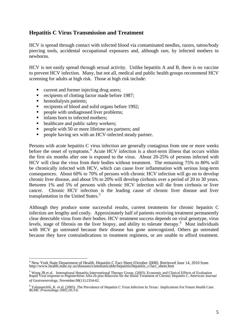#### **Hepatitis C Virus Transmission and Treatment**

HCV is spread through contact with infected blood via contaminated needles, razors, tattoo/body piercing tools, accidental occupational exposures and, although rare, by infected mothers to newborns.

HCV is not easily spread through sexual activity. Unlike hepatitis A and B, there is no vaccine to prevent HCV infection. Many, but not all, medical and public health groups recommend HCV screening for adults at high risk. Those at high risk include:

- **•** current and former injecting drug users;
- recipients of clotting factor made before 1987;
- hemodialysis patients;
- recipients of blood and solid organs before 1992;
- people with undiagnosed liver problems;
- infants born to infected mothers;
- healthcare and public safety workers;
- **People with 50 or more lifetime sex partners; and**
- people having sex with an HCV-infected steady partner.

Persons with acute hepatitis C virus infection are generally contagious from one or more weeks before the onset of symptoms.<sup>[4](#page-4-0)</sup> Acute HCV infection is a short-term illness that occurs within the first six months after one is exposed to the virus. About 20-25% of persons infected with HCV will clear the virus from their bodies without treatment. The remaining 75% to 80% will be chronically infected with HCV, which can cause liver inflammation with serious long-term consequences. About 60% to 70% of persons with chronic HCV infection will go on to develop chronic liver disease, and about 5% to 20% will develop cirrhosis over a period of 20 to 30 years. Between 1% and 5% of persons with chronic HCV infection will die from cirrhosis or liver cancer. Chronic HCV infection is the leading cause of chronic liver disease and liver transplantation in the United States.<sup>[5](#page-4-1)</sup>

Although they produce some successful results, current treatments for chronic hepatitis C infection are lengthy and costly. Approximately half of patients receiving treatment permanently clear detectable virus from their bodies. HCV treatment success depends on viral genotype, virus levels, stage of fibrosis on the liver biopsy, and ability to tolerate therapy.<sup>[6](#page-4-2)</sup> Most individuals with HCV go untreated because their disease has gone unrecognized. Others go untreated because they have contraindications to treatment regimens, or are unable to afford treatment.

<span id="page-4-0"></span><sup>&</sup>lt;sup>4</sup> New York State Department of Health, Hepatitis C Fact Sheet (October 2008). Retrieved June 14, 2010 from http://www.health.state.ny.us/diseases/communicable/hepatitis/hepatitis\_c/fact\_sheet.htm

<span id="page-4-1"></span><sup>&</sup>lt;sup>5</sup> Wong JB et al. International Hepatitis Interventional Therapy Group. (2003). Economic and Clinical Effects of Evaluation<br>Rapid Viral response to Peginterferon Alfa-2b plus Ribavirin for the Initial Treatment of Chronic *of Gastroenerology*, November;98(11):2354-62.

<span id="page-4-2"></span><sup>6</sup> Yalamanchili, K. et al. (2005). The Prevalence of Hepatitis C Virus Infection In Texas: Implications For Future Health Care. *BUMC Proceedings 2005;18:3-6.*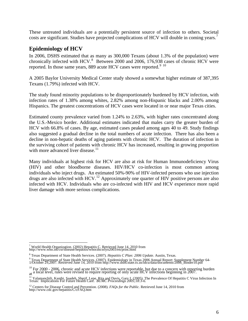These untreated individuals are a potentially persistent source of infection to others. Societal costs are significant. Studies have projected complications of HCV will double in coming years.<sup>[7](#page-5-0)</sup>

## **Epidemiology of HCV**

In 2006, DSHS estimated that as many as 300,000 Texans (about 1.3% of the population) were chronically infected with HCV.<sup>[8](#page-5-1)</sup> Between 2000 and 2006, 176,938 cases of chronic HCV were reported. In those same years, 88[9](#page-5-2) acute HCV cases were reported.<sup>9 [10](#page-5-3)</sup>

A 2005 Baylor University Medical Center study showed a somewhat higher estimate of 387,395 Texans (1.79%) infected with HCV.

The study found minority populations to be disproportionately burdened by HCV infection, with infection rates of 1.38% among whites, 2.82% among non-Hispanic blacks and 2.00% among Hispanics. The greatest concentrations of HCV cases were located in or near major Texas cities.

Estimated county prevalence varied from 1.24% to 2.63%, with higher rates concentrated along the U.S.-Mexico border. Additional estimates indicated that males carry the greater burden of HCV with 66.8% of cases. By age, estimated cases peaked among ages 40 to 49. Study findings also suggested a gradual decline in the total numbers of acute infection. There has also been a decline in non-hepatic deaths of aging patients with chronic HCV. The duration of infection in the surviving cohort of patients with chronic HCV has increased, resulting in growing proportion with more advanced liver disease. $11$ 

Many individuals at highest risk for HCV are also at risk for Human Immunodeficiency Virus (HIV) and other bloodborne diseases. HIV/HCV co-infection is most common among individuals who inject drugs. An estimated 50%-90% of HIV-infected persons who use injection drugs are also infected with HCV.<sup>[12](#page-5-5)</sup> Approximately one quarter of HIV positive persons are also infected with HCV. Individuals who are co-infected with HIV and HCV experience more rapid liver damage with more serious complications.

<span id="page-5-0"></span><sup>7</sup> World Health Organization. (2002) Hepatitis C. Retrieved June 14, 2010 from http://www.who.int/csr/disease/hepatitis/whocdscsrlyo2003/en/print.html

<span id="page-5-1"></span><sup>8</sup> Texas Department of State Health Services. (2007). *Hepatitis C Plan: 2006 Update*. Austin, Texas.

<span id="page-5-2"></span><sup>9&</sup>lt;br>Texas Department of State Health Services. (2007). Epidemiology in Texas 2006 Annual Report: Supplement Number 64-<br>1/October 29,2007. Retrieved June 14, 2010 from http://www.dshs.state.tx.us/idcu/data/documents/2006\_Bind

<span id="page-5-3"></span> $^{10}$  For 2000 - 2006, chronic and acute HCV infections were reportable, but due to a concern with reporting burden at a local level, rules were revised to require reporting of only acute HCV infections beginning in 2007.

<span id="page-5-4"></span><sup>&</sup>lt;sup>11</sup> Yalamanchili, Kanthi, Saadeh, Sherif, Lepe, Rita and Davis, Gary L (2005). The Prevalence Of Hepatitis C Virus Infection In<br>Texas: Implications For Future Health Care. *BUMC Proceedings 2005;18:3-6*.

<span id="page-5-5"></span><sup>&</sup>lt;sup>12</sup> Centers for Disease Control and Prevention. (2008). *FAQs for the Public*. Retrieved June 14, 2010 from http://www.cdc.gov/hepatitis/C/cFAQ.htm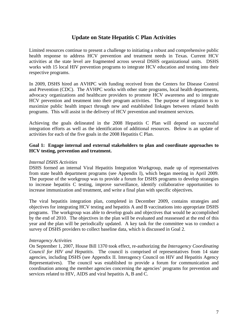## **Update on State Hepatitis C Plan Activities**

Limited resources continue to present a challenge to initiating a robust and comprehensive public health response to address HCV prevention and treatment needs in Texas. Current HCV activities at the state level are fragmented across several DSHS organizational units. DSHS works with 15 local HIV prevention programs to integrate HCV education and testing into their respective programs.

In 2009, DSHS hired an AVHPC with funding received from the Centers for Disease Control and Prevention (CDC). The AVHPC works with other state programs, local health departments, advocacy organizations and healthcare providers to promote HCV awareness and to integrate HCV prevention and treatment into their program activities. The purpose of integration is to maximize public health impact through new and established linkages between related health programs. This will assist in the delivery of HCV prevention and treatment services.

Achieving the goals delineated in the 2008 Hepatitis C Plan will depend on successful integration efforts as well as the identification of additional resources. Below is an update of activities for each of the five goals in the 2008 Hepatitis C Plan.

#### **Goal 1: Engage internal and external stakeholders to plan and coordinate approaches to HCV testing, prevention and treatment.**

#### *Internal DSHS Activities*

DSHS formed an internal Viral Hepatitis Integration Workgroup, made up of representatives from state health department programs (see Appendix I), which began meeting in April 2009. The purpose of the workgroup was to provide a forum for DSHS programs to develop strategies to increase hepatitis C testing, improve surveillance, identify collaborative opportunities to increase immunization and treatment, and write a final plan with specific objectives.

The viral hepatitis integration plan, completed in December 2009, contains strategies and objectives for integrating HCV testing and hepatitis A and B vaccinations into appropriate DSHS programs. The workgroup was able to develop goals and objectives that would be accomplished by the end of 2010. The objectives in the plan will be evaluated and reassessed at the end of this year and the plan will be periodically updated. A key task for the committee was to conduct a survey of DSHS providers to collect baseline data, which is discussed in Goal 2.

#### *Interagency Activities*

On September 1, 2007, House Bill 1370 took effect, re-authorizing the *Interagency Coordinating Council for HIV and Hepatitis*. The council is comprised of representatives from 14 state agencies, including DSHS (see Appendix II. Interagency Council on HIV and Hepatitis Agency Representatives). The council was established to provide a forum for communication and coordination among the member agencies concerning the agencies' programs for prevention and services related to HIV, AIDS and viral hepatitis A, B and C.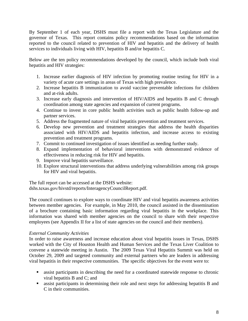By September 1 of each year, DSHS must file a report with the Texas Legislature and the governor of Texas. This report contains policy recommendations based on the information reported to the council related to prevention of HIV and hepatitis and the delivery of health services to individuals living with HIV, hepatitis B and/or hepatitis C.

Below are the ten policy recommendations developed by the council, which include both viral hepatitis and HIV strategies:

- 1. Increase earlier diagnosis of HIV infection by promoting routine testing for HIV in a variety of acute care settings in areas of Texas with high prevalence.
- 2. Increase hepatitis B immunization to avoid vaccine preventable infections for children and at-risk adults.
- 3. Increase early diagnosis and intervention of HIV/AIDS and hepatitis B and C through coordination among state agencies and expansion of current programs.
- 4. Continue to invest in core public health activities such as public health follow-up and partner services.
- 5. Address the fragmented nature of viral hepatitis prevention and treatment services.
- 6. Develop new prevention and treatment strategies that address the health disparities associated with HIV/AIDS and hepatitis infection, and increase access to existing prevention and treatment programs.
- 7. Commit to continued investigation of issues identified as needing further study.
- 8. Expand implementation of behavioral interventions with demonstrated evidence of effectiveness in reducing risk for HIV and hepatitis.
- 9. Improve viral hepatitis surveillance.
- 10. Explore structural interventions that address underlying vulnerabilities among risk groups for HIV and viral hepatitis.

The full report can be accessed at the DSHS website: dshs.texas.gov/hivstd/reports/InteragencyCouncilReport.pdf.

The council continues to explore ways to coordinate HIV and viral hepatitis awareness activities between member agencies. For example, in May 2010, the council assisted in the dissemination of a brochure containing basic information regarding viral hepatitis in the workplace. This information was shared with member agencies on the council to share with their respective employees (see Appendix II for a list of state agencies on the council and their members).

#### *External Community Activities*

In order to raise awareness and increase education about viral hepatitis issues in Texas, DSHS worked with the City of Houston Health and Human Services and the Texas Liver Coalition to convene a statewide meeting in Austin. The 2009 Texas Viral Hepatitis Summit was held on October 29, 2009 and targeted community and external partners who are leaders in addressing viral hepatitis in their respective communities. The specific objectives for the event were to:

- assist participants in describing the need for a coordinated statewide response to chronic viral hepatitis B and C; and
- **assist participants in determining their role and next steps for addressing hepatitis B and** C in their communities.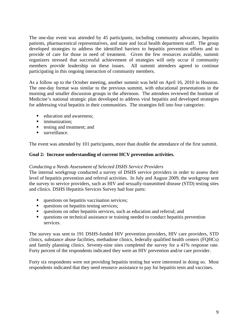The one-day event was attended by 45 participants, including community advocates, hepatitis patients, pharmaceutical representatives, and state and local health department staff. The group developed strategies to address the identified barriers to hepatitis prevention efforts and to provide of care for those in need of treatment. Given the few resources available, summit organizers stressed that successful achievement of strategies will only occur if community members provide leadership on these issues. All summit attendees agreed to continue participating in this ongoing interaction of community members.

As a follow up to the October meeting, another summit was held on April 16, 2010 in Houston. The one-day format was similar to the previous summit, with educational presentations in the morning and smaller discussion groups in the afternoon. The attendees reviewed the Institute of Medicine's national strategic plan developed to address viral hepatitis and developed strategies for addressing viral hepatitis in their communities. The strategies fell into four categories:

- education and awareness;
- **·** immunization:
- testing and treatment; and
- surveillance.

The event was attended by 101 participants, more than double the attendance of the first summit.

#### **Goal 2: Increase understanding of current HCV prevention activities.**

#### *Conducting a Needs Assessment of Selected DSHS Service Providers*

The internal workgroup conducted a survey of DSHS service providers in order to assess their level of hepatitis prevention and referral activities. In July and August 2009, the workgroup sent the survey to service providers, such as HIV and sexually-transmitted disease (STD) testing sites and clinics. DSHS Hepatitis Services Survey had four parts:

- questions on hepatitis vaccination services;
- questions on hepatitis testing services;
- questions on other hepatitis services, such as education and referral; and
- questions on technical assistance or training needed to conduct hepatitis prevention services.

The survey was sent to 191 DSHS-funded HIV prevention providers, HIV care providers, STD clinics, substance abuse facilities, methadone clinics, federally qualified health centers (FQHCs) and family planning clinics. Seventy-nine sites completed the survey for a 41% response rate. Forty percent of the respondents indicated they were an HIV prevention and/or care provider.

Forty six respondents were not providing hepatitis testing but were interested in doing so. Most respondents indicated that they need resource assistance to pay for hepatitis tests and vaccines.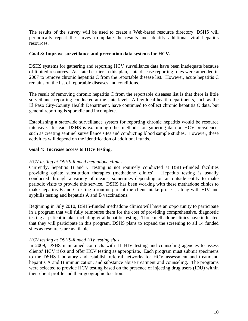The results of the survey will be used to create a Web-based resource directory. DSHS will periodically repeat the survey to update the results and identify additional viral hepatitis resources.

#### **Goal 3: Improve surveillance and prevention data systems for HCV.**

DSHS systems for gathering and reporting HCV surveillance data have been inadequate because of limited resources. As stated earlier in this plan, state disease reporting rules were amended in 2007 to remove chronic hepatitis C from the reportable disease list. However, acute hepatitis C remains on the list of reportable diseases and conditions.

The result of removing chronic hepatitis C from the reportable diseases list is that there is little surveillance reporting conducted at the state level. A few local health departments, such as the El Paso City-County Health Department, have continued to collect chronic hepatitis C data, but general reporting is sporadic and incomplete.

Establishing a statewide surveillance system for reporting chronic hepatitis would be resource intensive. Instead, DSHS is examining other methods for gathering data on HCV prevalence, such as creating sentinel surveillance sites and conducting blood sample studies. However, these activities will depend on the identification of additional funds.

#### **Goal 4: Increase access to HCV testing.**

#### *HCV testing at DSHS-funded methadone clinics*

Currently, hepatitis B and C testing is not routinely conducted at DSHS-funded facilities providing opiate substitution therapies (methadone clinics). Hepatitis testing is usually conducted through a variety of means, sometimes depending on an outside entity to make periodic visits to provide this service. DSHS has been working with these methadone clinics to make hepatitis B and C testing a routine part of the client intake process, along with HIV and syphilis testing and hepatitis A and B vaccinations.

Beginning in July 2010, DSHS-funded methadone clinics will have an opportunity to participate in a program that will fully reimburse them for the cost of providing comprehensive, diagnostic testing at patient intake, including viral hepatitis testing. Three methadone clinics have indicated that they will participate in this program. DSHS plans to expand the screening to all 14 funded sites as resources are available.

#### *HCV testing at DSHS-funded HIV testing sites*

In 2009, DSHS maintained contracts with 11 HIV testing and counseling agencies to assess clients' HCV risks and offer HCV testing as appropriate. Each program must submit specimens to the DSHS laboratory and establish referral networks for HCV assessment and treatment, hepatitis A and B immunization, and substance abuse treatment and counseling. The programs were selected to provide HCV testing based on the presence of injecting drug users (IDU) within their client profile and their geographic location.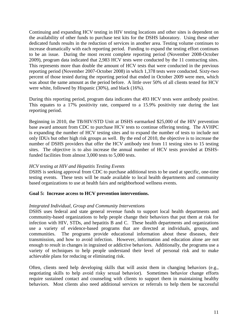Continuing and expanding HCV testing in HIV testing locations and other sites is dependent on the availability of other funds to purchase test kits for the DSHS laboratory. Using these other dedicated funds results in the reduction of services in another area. Testing volume continues to increase dramatically with each reporting period. Funding to expand the testing effort continues to be an issue. During the most recent complete reporting period (November 2008-October 2009), program data indicated that 2,983 HCV tests were conducted by the 11 contracting sites. This represents more than double the amount of HCV tests that were conducted in the previous reporting period (November 2007-October 2008) in which 1,378 tests were conducted. Sixty-two percent of those tested during the reporting period that ended in October 2009 were men, which was about the same amount as the period before. A little over 50% of all clients tested for HCV were white, followed by Hispanic (30%), and black (16%).

During this reporting period, program data indicates that 493 HCV tests were antibody positive. This equates to a 17% positivity rate, compared to a 15.9% positivity rate during the last reporting period.

Beginning in 2010, the TB/HIV/STD Unit at DSHS earmarked \$25,000 of the HIV prevention base award amount from CDC to purchase HCV tests to continue offering testing. The AVHPC is expanding the number of HCV testing sites and to expand the number of tests to include not only IDUs but other high risk groups as well. By the end of 2010, the objective is to increase the number of DSHS providers that offer the HCV antibody test from 11 testing sites to 15 testing sites. The objective is to also increase the annual number of HCV tests provided at DSHSfunded facilities from almost 3,000 tests to 5,000 tests.

#### *HCV testing at HIV and Hepatitis Testing Events*

DSHS is seeking approval from CDC to purchase additional tests to be used at specific, one-time testing events. These tests will be made available to local health departments and community based organizations to use at health fairs and neighborhood wellness events.

#### **Goal 5: Increase access to HCV prevention interventions.**

#### *Integrated Individual, Group and Community Interventions*

DSHS uses federal and state general revenue funds to support local health departments and community-based organizations to help people change their behaviors that put them at risk for infection with HIV, STDs, and hepatitis B and C. These health departments and organizations use a variety of evidence-based programs that are directed at individuals, groups, and communities. The programs provide educational information about these diseases, their transmission, and how to avoid infection. However, information and education alone are not enough to result in changes in ingrained or addictive behaviors. Additionally, the programs use a variety of techniques to help people understand their level of personal risk and to make achievable plans for reducing or eliminating risk.

Often, clients need help developing skills that will assist them in changing behaviors (e.g., negotiating skills to help avoid risky sexual behavior). Sometimes behavior change efforts require sustained contact and counseling with clients to support them in maintaining healthy behaviors. Most clients also need additional services or referrals to help them be successful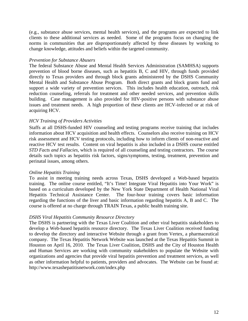(e.g., substance abuse services, mental health services), and the programs are expected to link clients to these additional services as needed. Some of the programs focus on changing the norms in communities that are disproportionately affected by these diseases by working to change knowledge, attitudes and beliefs within the targeted community.

#### *Prevention for Substance Abusers*

The federal Substance Abuse and Mental Health Services Administration (SAMHSA) supports prevention of blood borne diseases, such as hepatitis B, C and HIV, through funds provided directly to Texas providers and through block grants administered by the DSHS Community Mental Health and Substance Abuse Program. Both direct grants and block grants fund and support a wide variety of prevention services. This includes health education, outreach, risk reduction counseling, referrals for treatment and other needed services, and prevention skills building. Case management is also provided for HIV-positive persons with substance abuse issues and treatment needs. A high proportion of these clients are HCV-infected or at risk of acquiring HCV.

#### *HCV Training of Providers Activities*

Staffs at all DSHS-funded HIV counseling and testing programs receive training that includes information about HCV acquisition and health effects. Counselors also receive training on HCV risk assessment and HCV testing protocols, including how to inform clients of non-reactive and reactive HCV test results. Content on viral hepatitis is also included in a DSHS course entitled *STD Facts and Fallacies*, which is required of all counseling and testing contractors. The course details such topics as hepatitis risk factors, signs/symptoms, testing, treatment, prevention and perinatal issues, among others.

#### *Online Hepatitis Training*

To assist in meeting training needs across Texas, DSHS developed a Web-based hepatitis training. The online course entitled, "It's Time! Integrate Viral Hepatitis into Your Work" is based on a curriculum developed by the New York State Department of Health National Viral Hepatitis Technical Assistance Center. The four-hour training covers basic information regarding the functions of the liver and basic information regarding hepatitis A, B and C. The course is offered at no charge through TRAIN Texas, a public health training site.

#### *DSHS Viral Hepatitis Community Resource Directory*

The DSHS is partnering with the Texas Liver Coalition and other viral hepatitis stakeholders to develop a Web-based hepatitis resource directory. The Texas Liver Coalition received funding to develop the directory and interactive Website through a grant from Vertex, a pharmaceutical company. The Texas Hepatitis Network Website was launched at the Texas Hepatitis Summit in Houston on April 16, 2010. The Texas Liver Coalition, DSHS and the City of Houston Health and Human Services are working with community stakeholders to populate the Website with organizations and agencies that provide viral hepatitis prevention and treatment services, as well as other information helpful to patients, providers and advocates. The Website can be found at: http://www.texashepatitisnetwork.com/index.php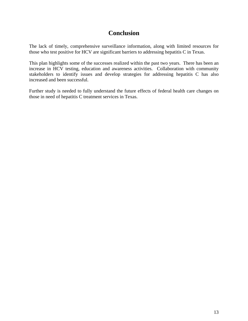# **Conclusion**

The lack of timely, comprehensive surveillance information, along with limited resources for those who test positive for HCV are significant barriers to addressing hepatitis C in Texas.

This plan highlights some of the successes realized within the past two years. There has been an increase in HCV testing, education and awareness activities. Collaboration with community stakeholders to identify issues and develop strategies for addressing hepatitis C has also increased and been successful.

Further study is needed to fully understand the future effects of federal health care changes on those in need of hepatitis C treatment services in Texas.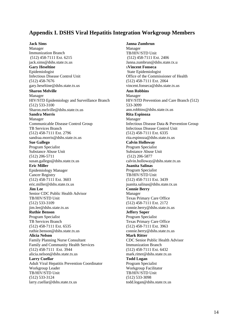#### **Appendix I. DSHS Viral Hepatitis Integration Workgroup Members**

#### **Jack Sims**

Manager Immunization Branch (512) 458-7111 Ext. 6215 jack.sims@dshs.state.tx.us **Gary Heseltine** Epidemiologist Infectious Disease Control Unit (512) 458-7676 gary.heseltine@dshs.state.tx.us **Sharon Melville** Manager HIV/STD Epidemiology and Surveillance Branch (512) 533-3100 Sharon.melville@dshs.state.tx.us **Sandra Morris** Manager Communicable Disease Control Group TB Services Branch (512) 458-7111 Ext. 2796 sandraa.morris@dshs.state.tx.us **Sue Gallego** Program Specialist Substance Abuse Unit (512) 206-5711 susan.gallego@dshs.state.tx.us **Eric Miller** Epidemiology Manager Cancer Registry (512) 458-7111 Ext. 3603 eric.miller@dshs.state.tx.us **Jim Lee** Senior CDC Public Health Advisor TB/HIV/STD Unit (512) 533-3109 jim.lee@dshs.state.tx.us **Ruthie Benson** Program Specialist TB Services Branch (512) 458-7111 Ext. 6535 ruthie.benson@dshs.state.tx.us **Alicia Nelson** Family Planning Nurse Consultant Family and Community Health Services (512) 458-7111 Ext. 3944 alicia.nelson@dshs.state.tx.us **Larry Cuellar** Adult Viral Hepatitis Prevention Coordinator Workgroup Leader TB/HIV/STD Unit (512) 533-3124 larry.cuellar@dshs.state.tx.us

**Janna Zumbrun**  Manager TB/HIV/STD Unit (512) 458-7111 Ext. 2406 Janna.zumbrun@dshs.state.tx.u s**Vincent Fonseca** State Epidemiologist Office of the Commissioner of Health (512) 458-7111 Ext. 2064 vincent.fonseca@dshs.state.tx.us **Ann Robbins** Manager HIV/STD Prevention and Care Branch (512) 533-3099 ann.robbins@dshs.state.tx.us **Rita Espinoza** Manager Infectious Disease Data & Prevention Group Infectious Disease Control Unit (512) 458-7111 Ext. 6335 rita.espinoza@dshs.state.tx.us **Calvin Holloway** Program Specialist Substance Abuse Unit (512) 206-5877 calvin.holloway@dshs.state.tx.us **Juanita Salinas** Program Specialist TB/HIV/STD Unit (512) 458-7111 Ext. 3439 juanita.salinas@dshs.state.tx.us **Connie Berry** Manager Texas Primary Care Office (512) 458-7111 Ext. 2172 connie.berry@dshs.state.tx.us **Jeffery Soper** Program Specialist Texas Primary Care Office (512) 458-7111 Ext. 3963 connie.berry@dshs.state.tx.us **Mark Ritter** CDC Senior Public Health Advisor Immunization Branch (512) 458-7111 Ext. 6432 mark.ritter@dshs.state.tx.us **Todd Logan** Program Specialist Workgroup Facilitator TB/HIV/STD Unit (512) 533-3098 todd.logan@dshs.state.tx.us